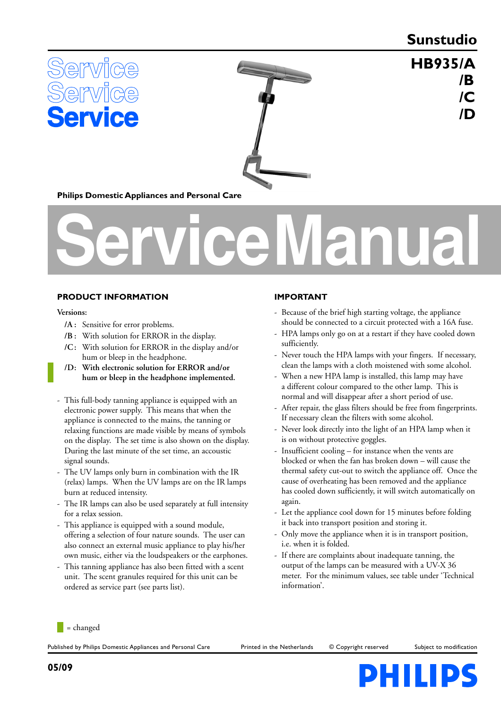## **Sunstudio**

 **HB935 /A**

 **/D**

 **/B**

 **/C**





**Philips Domestic Appliances and Personal Care**

# **Service Manual**

### **PRODUCT INFORMATION**

#### **Versions:**

- **/A :** Sensitive for error problems.
- **/B :** With solution for ERROR in the display.
- **/C :** With solution for ERROR in the display and/or hum or bleep in the headphone.
- **/D : With electronic solution for ERROR and/or hum or bleep in the headphone implemented.**
- This full-body tanning appliance is equipped with an electronic power supply. This means that when the appliance is connected to the mains, the tanning or relaxing functions are made visible by means of symbols on the display. The set time is also shown on the display. During the last minute of the set time, an accoustic signal sounds.
- The UV lamps only burn in combination with the IR (relax) lamps. When the UV lamps are on the IR lamps burn at reduced intensity.
- The IR lamps can also be used separately at full intensity for a relax session.
- This appliance is equipped with a sound module, offering a selection of four nature sounds. The user can also connect an external music appliance to play his/her own music, either via the loudspeakers or the earphones.
- This tanning appliance has also been fitted with a scent unit. The scent granules required for this unit can be ordered as service part (see parts list).

## **IMPORTANT**

- Because of the brief high starting voltage, the appliance should be connected to a circuit protected with a 16A fuse.
- HPA lamps only go on at a restart if they have cooled down sufficiently.
- Never touch the HPA lamps with your fingers. If necessary, clean the lamps with a cloth moistened with some alcohol.
- When a new HPA lamp is installed, this lamp may have a different colour compared to the other lamp. This is normal and will disappear after a short period of use.
- After repair, the glass filters should be free from fingerprints. If necessary clean the filters with some alcohol.
- Never look directly into the light of an HPA lamp when it is on without protective goggles.
- Insufficient cooling for instance when the vents are blocked or when the fan has broken down – will cause the thermal safety cut-out to switch the appliance off. Once the cause of overheating has been removed and the appliance has cooled down sufficiently, it will switch automatically on again.
- Let the appliance cool down for 15 minutes before folding it back into transport position and storing it.
- Only move the appliance when it is in transport position, i.e. when it is folded.
- If there are complaints about inadequate tanning, the output of the lamps can be measured with a UV-X 36 meter. For the minimum values, see table under 'Technical information'.



Published by Philips Domestic Appliances and Personal Care Printed in the Netherlands © Copyright reserved Subject to modification

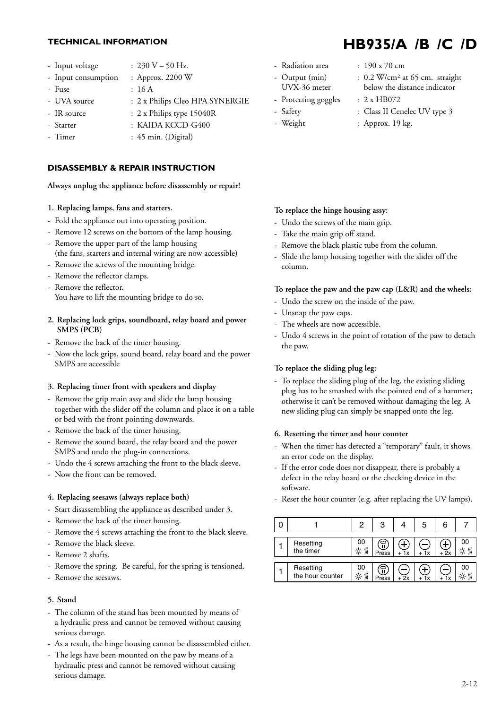- Input voltage :  $230 V 50 Hz$ .
- Input consumption : Approx. 2200 W
- Fuse : 16 A
- UVA source : 2 x Philips Cleo HPA SYNERGIE
- IR source : 2 x Philips type 15040R
- Starter : KAIDA KCCD-G400
- Timer : 45 min. (Digital)

## **DISASSEMBLY & REPAIR INSTRUCTION**

#### **Always unplug the appliance before disassembly or repair!**

#### **1. Replacing lamps, fans and starters.**

- Fold the appliance out into operating position.
- Remove 12 screws on the bottom of the lamp housing.
- Remove the upper part of the lamp housing (the fans, starters and internal wiring are now accessible)
- Remove the screws of the mounting bridge.
- Remove the reflector clamps.
- Remove the reflector. You have to lift the mounting bridge to do so.
- **2. Replacing lock grips, soundboard, relay board and power SMPS (PCB)**
- Remove the back of the timer housing.
- Now the lock grips, sound board, relay board and the power SMPS are accessible

#### **3. Replacing timer front with speakers and display**

- Remove the grip main assy and slide the lamp housing together with the slider off the column and place it on a table or bed with the front pointing downwards.
- Remove the back of the timer housing.
- Remove the sound board, the relay board and the power SMPS and undo the plug-in connections.
- Undo the 4 screws attaching the front to the black sleeve.
- Now the front can be removed.

#### **4. Replacing seesaws (always replace both)**

- Start disassembling the appliance as described under 3.
- Remove the back of the timer housing.
- Remove the 4 screws attaching the front to the black sleeve.
- Remove the black sleeve.
- Remove 2 shafts.
- Remove the spring. Be careful, for the spring is tensioned.
- Remove the seesaws.

#### **5. Stand**

- The column of the stand has been mounted by means of a hydraulic press and cannot be removed without causing serious damage.
- As a result, the hinge housing cannot be disassembled either.
- The legs have been mounted on the paw by means of a hydraulic press and cannot be removed without causing serious damage.
- Radiation area : 190 x 70 cm
- 
- 
- 
- 
- 
- Output (min) : 0.2 W/cm<sup>2</sup> at 65 cm. straight UVX-36 meter below the distance indicator
- Protecting goggles : 2 x HB072
- Safety : Class II Cenelec UV type 3
- Weight : Approx. 19 kg.

### **To replace the hinge housing assy:**

- Undo the screws of the main grip.
- Take the main grip off stand.
- Remove the black plastic tube from the column.
- Slide the lamp housing together with the slider off the column.

#### **To replace the paw and the paw cap (L&R) and the wheels:**

- Undo the screw on the inside of the paw.
- Unsnap the paw caps.
- The wheels are now accessible.
- Undo 4 screws in the point of rotation of the paw to detach the paw.

#### **To replace the sliding plug leg:**

- To replace the sliding plug of the leg, the existing sliding plug has to be smashed with the pointed end of a hammer; otherwise it can't be removed without damaging the leg. A new sliding plug can simply be snapped onto the leg.

#### **6. Resetting the timer and hour counter**

- When the timer has detected a "temporary" fault, it shows an error code on the display.
- If the error code does not disappear, there is probably a defect in the relay board or the checking device in the software.
- Reset the hour counter (e.g. after replacing the UV lamps).

|                               | 2          | 3          |            | 5         |      |    |
|-------------------------------|------------|------------|------------|-----------|------|----|
| Resetting<br>the timer        | 00<br>-☆ ∭ | န<br>Press | ╋<br>$+1x$ | + 1x      | + 2x | 00 |
| Resetting<br>the hour counter | 00<br>☆∭   | န<br>Press | $+2x$      | ╈<br>+ 1x |      | 00 |

# **TECHNICAL INFORMATION HB935/A /B /C /D**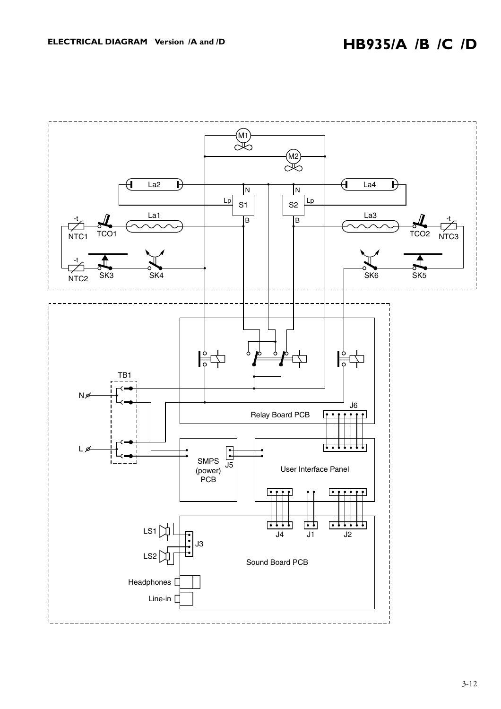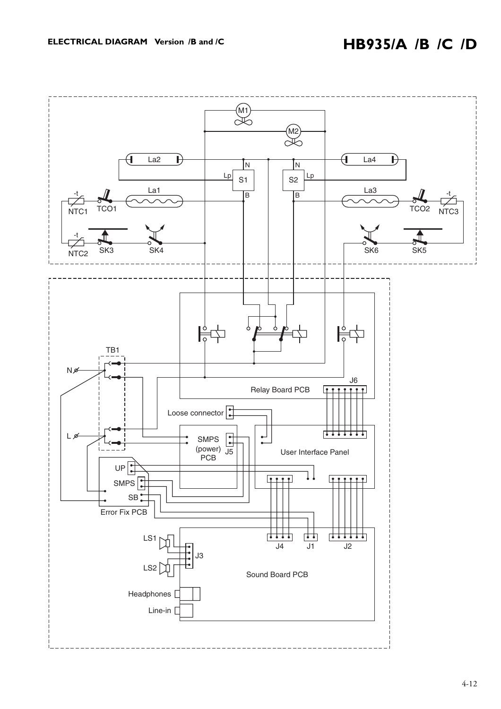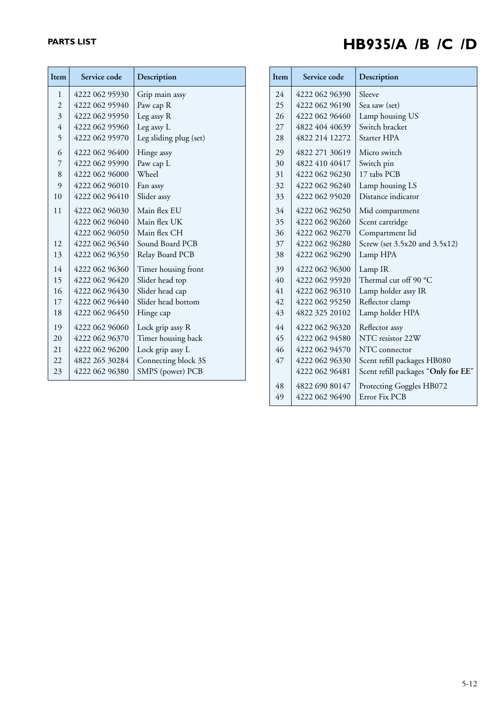# **PARTS LIST HB935/A /B /C /D**

| Item           | Service code   | Description            |
|----------------|----------------|------------------------|
| 1              | 4222 062 95930 | Grip main assy         |
| $\overline{2}$ | 4222 062 95940 | Paw cap R              |
| 3              | 4222 062 95950 | Leg assy R             |
| $\overline{4}$ | 4222 062 95960 | Leg assy L             |
| 5              | 4222 062 95970 | Leg sliding plug (set) |
| 6              | 4222 062 96400 | Hinge assy             |
| 7              | 4222 062 95990 | Paw cap L              |
| 8              | 4222 062 96000 | Wheel                  |
| 9              | 4222 062 96010 | Fan assy               |
| 10             | 4222 062 96410 | Slider assy            |
| 11             | 4222 062 96030 | Main flex EU           |
|                | 4222 062 96040 | Main flex UK           |
|                | 4222 062 96050 | Main flex CH           |
| 12.            | 4222 062 96340 | Sound Board PCB        |
| 13             | 4222 062 96350 | Relay Board PCB        |
| 14             | 4222 062 96360 | Timer housing front    |
| 15             | 4222 062 96420 | Slider head top        |
| 16             | 4222 062 96430 | Slider head cap        |
| 17             | 4222 062 96440 | Slider head bottom     |
| 18             | 4222 062 96450 | Hinge cap              |
| 19             | 4222 062 96060 | Lock grip assy R       |
| 20             | 4222 062 96370 | Timer housing back     |
| 21             | 4222 062 96200 | Lock grip assy L       |
| 22             | 4822 265 30284 | Connecting block 3S    |
| 23             | 4222 062 96380 | SMPS (power) PCB       |

| <b>Item</b> | Service code   | Description                         |  |
|-------------|----------------|-------------------------------------|--|
| 24          | 4222 062 96390 | Sleeve                              |  |
| 25          | 4222 062 96190 | Sea saw (set)                       |  |
| 26          | 4222 062 96460 | Lamp housing US                     |  |
| 27          | 4822 404 40639 | Switch bracket                      |  |
| 28          | 4822 214 12272 | Starter HPA                         |  |
| 29          | 4822 271 30619 | Micro switch                        |  |
| 30          | 4822 410 40417 | Switch pin                          |  |
| 31          | 4222 062 96230 | 17 tabs PCB                         |  |
| 32          | 4222 062 96240 | Lamp housing LS                     |  |
| 33          | 4222 062 95020 | Distance indicator                  |  |
| 34          | 4222 062 96250 | Mid compartment                     |  |
| 35          | 4222 062 96260 | Scent cartridge                     |  |
| 36          | 4222 062 96270 | Compartment lid                     |  |
| 37          | 4222 062 96280 | Screw (set 3.5x20 and 3.5x12)       |  |
| 38          | 4222 062 96290 | Lamp HPA                            |  |
| 39          | 4222 062 96300 | Lamp IR                             |  |
| 40          | 4222 062 95920 | Thermal cut off 90 °C               |  |
| 41          | 4222 062 96310 | Lamp holder assy IR                 |  |
| 42          | 4222 062 95250 | Reflector clamp                     |  |
| 43          | 4822 325 20102 | Lamp holder HPA                     |  |
| 44          | 4222 062 96320 | Reflector assy                      |  |
| 45          | 4222 062 94580 | NTC resistor 22W                    |  |
| 46          | 4222 062 94570 | NTC connector                       |  |
| 47          | 4222 062 96330 | Scent refill packages HB080         |  |
|             | 4222 062 96481 | Scent refill packages "Only for EE" |  |
| 48          | 4822 690 80147 | Protecting Goggles HB072            |  |
| 49          | 4222 062 96490 | Error Fix PCB                       |  |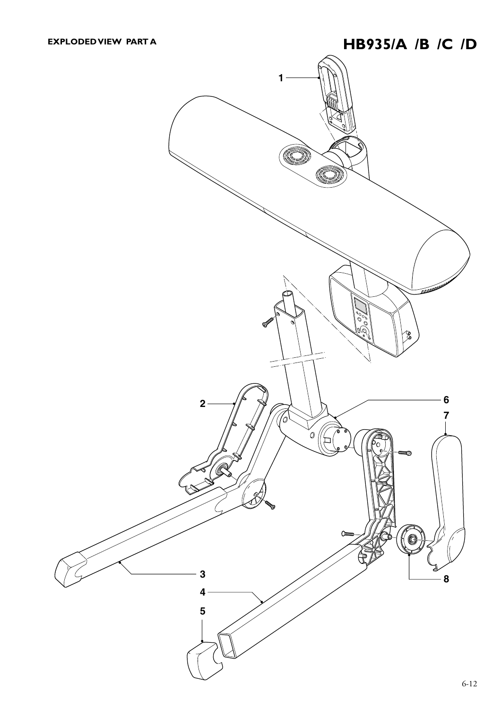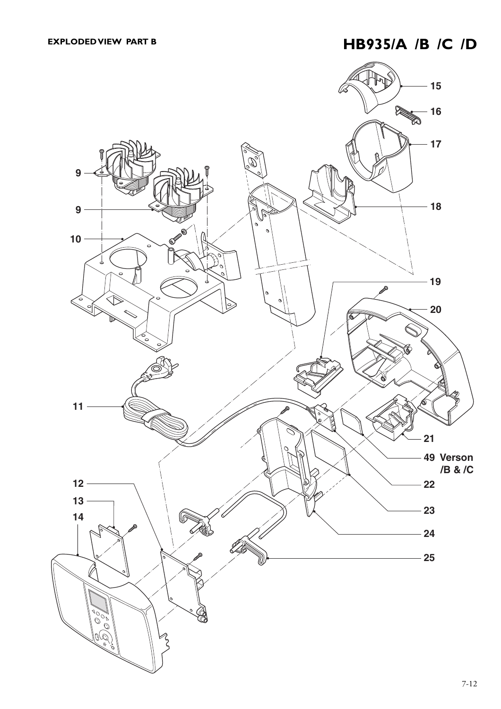## **EXPLODED VIEW PART B HB935/A /B /C /D**

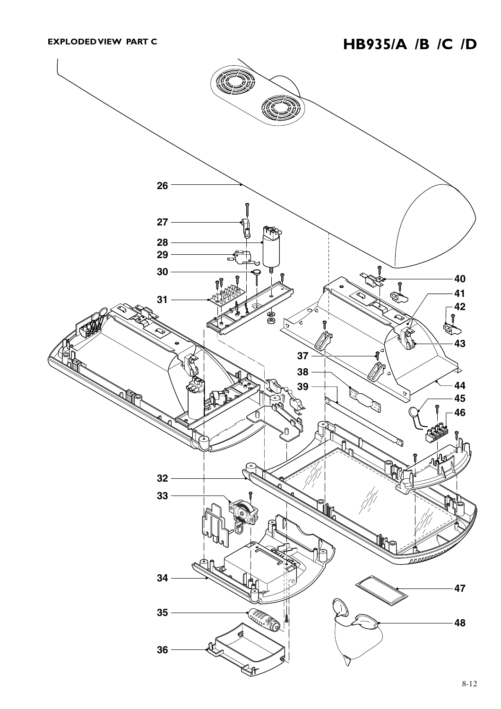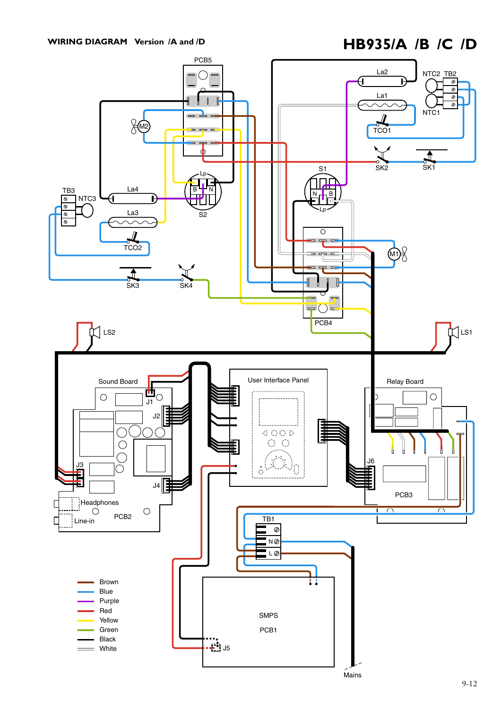## WIRING DIAGRAM Version /A and /D<br> **HB935/A** /B /C /D

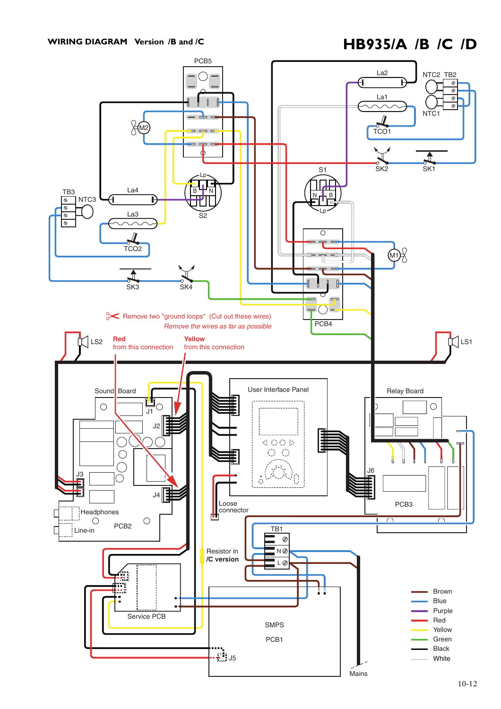## WIRING DIAGRAM Version /B and /C<br> **HB935/A** /B /C /D

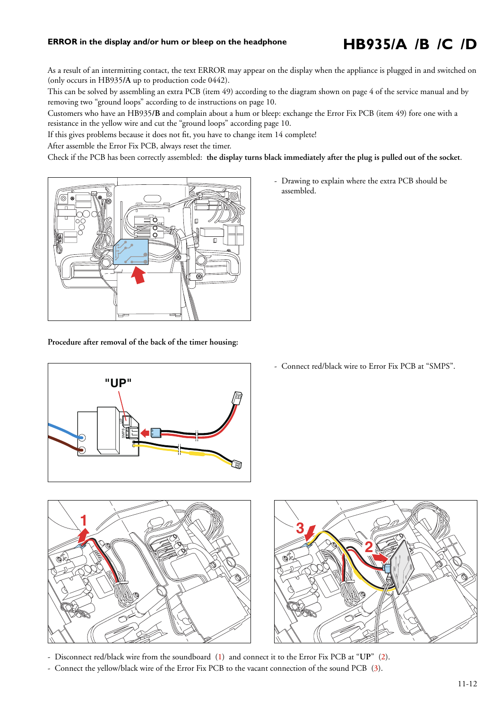## **ERROR in the display and/or hum or bleep on the headphone**

# **HB935/A /B /C /D**

As a result of an intermitting contact, the text ERROR may appear on the display when the appliance is plugged in and switched on (only occurs in HB935**/A** up to production code 0442).

This can be solved by assembling an extra PCB (item 49) according to the diagram shown on page 4 of the service manual and by removing two "ground loops" according to de instructions on page 10.

Customers who have an HB935**/B** and complain about a hum or bleep: exchange the Error Fix PCB (item 49) fore one with a resistance in the yellow wire and cut the "ground loops" according page 10.

If this gives problems because it does not fit, you have to change item 14 complete!

After assemble the Error Fix PCB, always reset the timer.

Check if the PCB has been correctly assembled: **the display turns black immediately after the plug is pulled out of the socket**.



**Procedure after removal of the back of the timer housing:**



- Connect red/black wire to Error Fix PCB at "SMPS".



- Disconnect red/black wire from the soundboard (**1**) and connect it to the Error Fix PCB at "**UP**" (**2**).
- Connect the yellow/black wire of the Error Fix PCB to the vacant connection of the sound PCB (**3**).

- Drawing to explain where the extra PCB should be assembled.